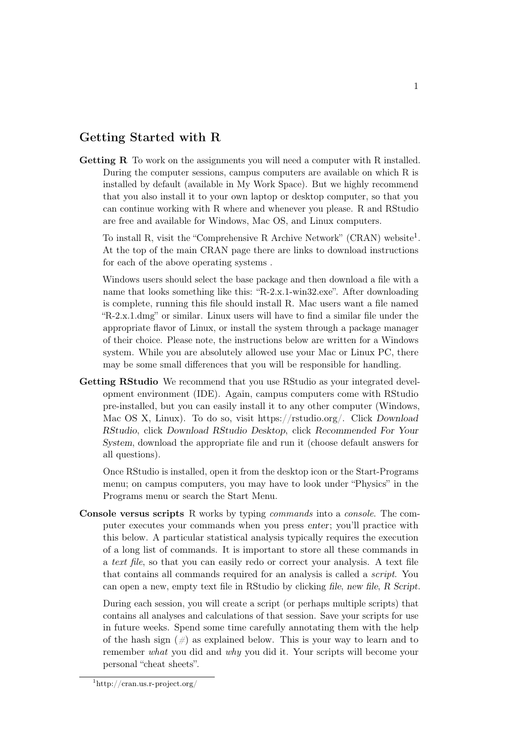## Getting Started with R

Getting R To work on the assignments you will need a computer with R installed. During the computer sessions, campus computers are available on which R is installed by default (available in My Work Space). But we highly recommend that you also install it to your own laptop or desktop computer, so that you can continue working with R where and whenever you please. R and RStudio are free and available for Windows, Mac OS, and Linux computers.

To install R, visit the "Comprehensive R Archive Network" (CRAN) website<sup>[1](#page-0-0)</sup>. At the top of the main CRAN page there are links to download instructions for each of the above operating systems .

Windows users should select the base package and then download a file with a name that looks something like this: "R-2.x.1-win32.exe". After downloading is complete, running this file should install R. Mac users want a file named "R-2.x.1.dmg" or similar. Linux users will have to find a similar file under the appropriate flavor of Linux, or install the system through a package manager of their choice. Please note, the instructions below are written for a Windows system. While you are absolutely allowed use your Mac or Linux PC, there may be some small differences that you will be responsible for handling.

Getting RStudio We recommend that you use RStudio as your integrated development environment (IDE). Again, campus computers come with RStudio pre-installed, but you can easily install it to any other computer (Windows, Mac OS X, Linux). To do so, visit [https://rstudio.org/.](https://rstudio.org/) Click Download RStudio, click Download RStudio Desktop, click Recommended For Your System, download the appropriate file and run it (choose default answers for all questions).

Once RStudio is installed, open it from the desktop icon or the Start-Programs menu; on campus computers, you may have to look under "Physics" in the Programs menu or search the Start Menu.

Console versus scripts R works by typing commands into a console. The computer executes your commands when you press enter; you'll practice with this below. A particular statistical analysis typically requires the execution of a long list of commands. It is important to store all these commands in a text file, so that you can easily redo or correct your analysis. A text file that contains all commands required for an analysis is called a script. You can open a new, empty text file in RStudio by clicking file, new file, R Script.

During each session, you will create a script (or perhaps multiple scripts) that contains all analyses and calculations of that session. Save your scripts for use in future weeks. Spend some time carefully annotating them with the help of the hash sign  $(\#)$  as explained below. This is your way to learn and to remember what you did and why you did it. Your scripts will become your personal "cheat sheets".

<span id="page-0-0"></span> $\frac{1}{1}$ <http://cran.us.r-project.org/>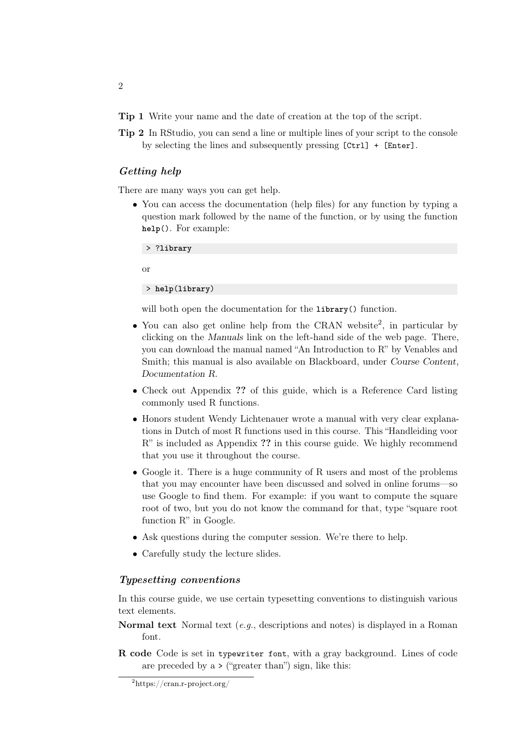Tip 1 Write your name and the date of creation at the top of the script.

Tip 2 In RStudio, you can send a line or multiple lines of your script to the console by selecting the lines and subsequently pressing [Ctrl] + [Enter].

## Getting help

There are many ways you can get help.

• You can access the documentation (help files) for any function by typing a question mark followed by the name of the function, or by using the function **help**(). For example:

> ?**library**

or

> **help**(**library**)

will both open the documentation for the **library**() function.

- You can also get online help from the CRAN website<sup>[2](#page-1-0)</sup>, in particular by clicking on the Manuals link on the left-hand side of the web page. There, you can download the manual named "An Introduction to R" by Venables and Smith; this manual is also available on Blackboard, under Course Content, Documentation R.
- Check out Appendix ?? of this guide, which is a Reference Card listing commonly used R functions.
- Honors student Wendy Lichtenauer wrote a manual with very clear explanations in Dutch of most R functions used in this course. This "Handleiding voor R" is included as Appendix ?? in this course guide. We highly recommend that you use it throughout the course.
- Google it. There is a huge community of R users and most of the problems that you may encounter have been discussed and solved in online forums—so use Google to find them. For example: if you want to compute the square root of two, but you do not know the command for that, type "square root function R" in Google.
- Ask questions during the computer session. We're there to help.
- Carefully study the lecture slides.

## Typesetting conventions

In this course guide, we use certain typesetting conventions to distinguish various text elements.

- **Normal text** Normal text  $(e.g.,$  descriptions and notes) is displayed in a Roman font.
- R code Code is set in typewriter font, with a gray background. Lines of code are preceded by  $a \succ (\text{``greater than''})$  sign, like this:

2

<span id="page-1-0"></span> $^{2}$ <https://cran.r-project.org/>